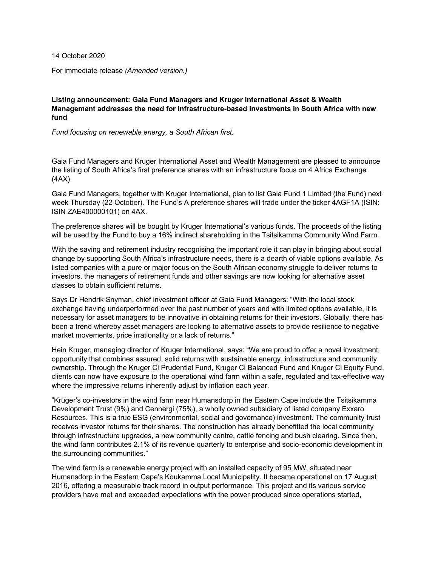14 October 2020

For immediate release *(Amended version.)*

## **Listing announcement: Gaia Fund Managers and Kruger International Asset & Wealth Management addresses the need for infrastructure-based investments in South Africa with new fund**

*Fund focusing on renewable energy, a South African first.*

Gaia Fund Managers and Kruger International Asset and Wealth Management are pleased to announce the listing of South Africa's first preference shares with an infrastructure focus on 4 Africa Exchange (4AX).

Gaia Fund Managers, together with Kruger International, plan to list Gaia Fund 1 Limited (the Fund) next week Thursday (22 October). The Fund's A preference shares will trade under the ticker 4AGF1A (ISIN: ISIN ZAE400000101) on 4AX.

The preference shares will be bought by Kruger International's various funds. The proceeds of the listing will be used by the Fund to buy a 16% indirect shareholding in the Tsitsikamma Community Wind Farm.

With the saving and retirement industry recognising the important role it can play in bringing about social change by supporting South Africa's infrastructure needs, there is a dearth of viable options available. As listed companies with a pure or major focus on the South African economy struggle to deliver returns to investors, the managers of retirement funds and other savings are now looking for alternative asset classes to obtain sufficient returns.

Says Dr Hendrik Snyman, chief investment officer at Gaia Fund Managers: "With the local stock exchange having underperformed over the past number of years and with limited options available, it is necessary for asset managers to be innovative in obtaining returns for their investors. Globally, there has been a trend whereby asset managers are looking to alternative assets to provide resilience to negative market movements, price irrationality or a lack of returns."

Hein Kruger, managing director of Kruger International, says: "We are proud to offer a novel investment opportunity that combines assured, solid returns with sustainable energy, infrastructure and community ownership. Through the Kruger Ci Prudential Fund, Kruger Ci Balanced Fund and Kruger Ci Equity Fund, clients can now have exposure to the operational wind farm within a safe, regulated and tax-effective way where the impressive returns inherently adjust by inflation each year.

"Kruger's co-investors in the wind farm near Humansdorp in the Eastern Cape include the Tsitsikamma Development Trust (9%) and Cennergi (75%), a wholly owned subsidiary of listed company Exxaro Resources. This is a true ESG (environmental, social and governance) investment. The community trust receives investor returns for their shares. The construction has already benefitted the local community through infrastructure upgrades, a new community centre, cattle fencing and bush clearing. Since then, the wind farm contributes 2.1% of its revenue quarterly to enterprise and socio-economic development in the surrounding communities."

The wind farm is a renewable energy project with an installed capacity of 95 MW, situated near Humansdorp in the Eastern Cape's Koukamma Local Municipality. It became operational on 17 August 2016, offering a measurable track record in output performance. This project and its various service providers have met and exceeded expectations with the power produced since operations started,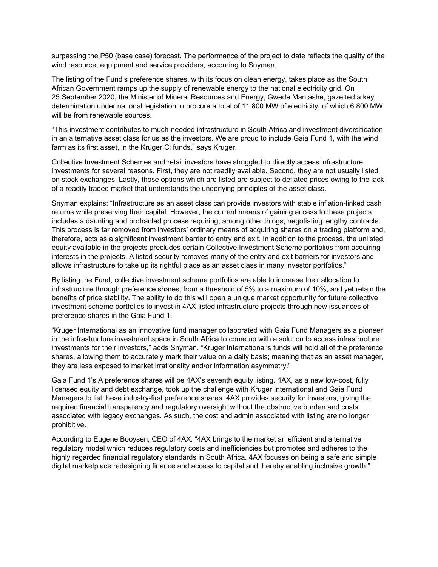surpassing the P50 (base case) forecast. The performance of the project to date reflects the quality of the wind resource, equipment and service providers, according to Snyman.

The listing of the Fund's preference shares, with its focus on clean energy, takes place as the South African Government ramps up the supply of renewable energy to the national electricity grid. On 25 September 2020, the Minister of Mineral Resources and Energy, Gwede Mantashe, gazetted a key determination under national legislation to procure a total of 11 800 MW of electricity, of which 6 800 MW will be from renewable sources.

"This investment contributes to much-needed infrastructure in South Africa and investment diversification in an alternative asset class for us as the investors. We are proud to include Gaia Fund 1, with the wind farm as its first asset, in the Kruger Ci funds," says Kruger.

Collective Investment Schemes and retail investors have struggled to directly access infrastructure investments for several reasons. First, they are not readily available. Second, they are not usually listed on stock exchanges. Lastly, those options which are listed are subject to deflated prices owing to the lack of a readily traded market that understands the underlying principles of the asset class.

Snyman explains: "Infrastructure as an asset class can provide investors with stable inflation-linked cash returns while preserving their capital. However, the current means of gaining access to these projects includes a daunting and protracted process requiring, among other things, negotiating lengthy contracts. This process is far removed from investors' ordinary means of acquiring shares on a trading platform and, therefore, acts as a significant investment barrier to entry and exit. In addition to the process, the unlisted equity available in the projects precludes certain Collective Investment Scheme portfolios from acquiring interests in the projects. A listed security removes many of the entry and exit barriers for investors and allows infrastructure to take up its rightful place as an asset class in many investor portfolios."

By listing the Fund, collective investment scheme portfolios are able to increase their allocation to infrastructure through preference shares, from a threshold of 5% to a maximum of 10%, and yet retain the benefits of price stability. The ability to do this will open a unique market opportunity for future collective investment scheme portfolios to invest in 4AX-listed infrastructure projects through new issuances of preference shares in the Gaia Fund 1.

"Kruger International as an innovative fund manager collaborated with Gaia Fund Managers as a pioneer in the infrastructure investment space in South Africa to come up with a solution to access infrastructure investments for their investors," adds Snyman. "Kruger International's funds will hold all of the preference shares, allowing them to accurately mark their value on a daily basis; meaning that as an asset manager, they are less exposed to market irrationality and/or information asymmetry."

Gaia Fund 1's A preference shares will be 4AX's seventh equity listing. 4AX, as a new low-cost, fully licensed equity and debt exchange, took up the challenge with Kruger International and Gaia Fund Managers to list these industry-first preference shares. 4AX provides security for investors, giving the required financial transparency and regulatory oversight without the obstructive burden and costs associated with legacy exchanges. As such, the cost and admin associated with listing are no longer prohibitive.

According to Eugene Booysen, CEO of 4AX: "4AX brings to the market an efficient and alternative regulatory model which reduces regulatory costs and inefficiencies but promotes and adheres to the highly regarded financial regulatory standards in South Africa. 4AX focuses on being a safe and simple digital marketplace redesigning finance and access to capital and thereby enabling inclusive growth."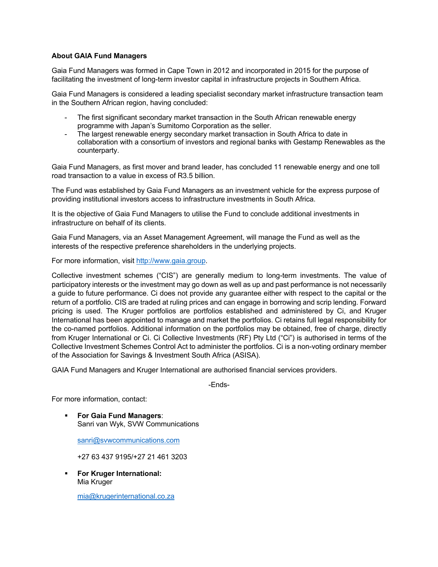## **About GAIA Fund Managers**

Gaia Fund Managers was formed in Cape Town in 2012 and incorporated in 2015 for the purpose of facilitating the investment of long-term investor capital in infrastructure projects in Southern Africa.

Gaia Fund Managers is considered a leading specialist secondary market infrastructure transaction team in the Southern African region, having concluded:

- The first significant secondary market transaction in the South African renewable energy programme with Japan's Sumitomo Corporation as the seller.
- The largest renewable energy secondary market transaction in South Africa to date in collaboration with a consortium of investors and regional banks with Gestamp Renewables as the counterparty.

Gaia Fund Managers, as first mover and brand leader, has concluded 11 renewable energy and one toll road transaction to a value in excess of R3.5 billion.

The Fund was established by Gaia Fund Managers as an investment vehicle for the express purpose of providing institutional investors access to infrastructure investments in South Africa.

It is the objective of Gaia Fund Managers to utilise the Fund to conclude additional investments in infrastructure on behalf of its clients.

Gaia Fund Managers, via an Asset Management Agreement, will manage the Fund as well as the interests of the respective preference shareholders in the underlying projects.

For more information, visit http://www.gaia.group.

Collective investment schemes ("CIS") are generally medium to long-term investments. The value of participatory interests or the investment may go down as well as up and past performance is not necessarily a guide to future performance. Ci does not provide any guarantee either with respect to the capital or the return of a portfolio. CIS are traded at ruling prices and can engage in borrowing and scrip lending. Forward pricing is used. The Kruger portfolios are portfolios established and administered by Ci, and Kruger International has been appointed to manage and market the portfolios. Ci retains full legal responsibility for the co-named portfolios. Additional information on the portfolios may be obtained, free of charge, directly from Kruger International or Ci. Ci Collective Investments (RF) Pty Ltd ("Ci") is authorised in terms of the Collective Investment Schemes Control Act to administer the portfolios. Ci is a non-voting ordinary member of the Association for Savings & Investment South Africa (ASISA).

GAIA Fund Managers and Kruger International are authorised financial services providers.

-Ends-

For more information, contact:

§ **For Gaia Fund Managers**: Sanri van Wyk, SVW Communications

sanri@svwcommunications.com

+27 63 437 9195/+27 21 461 3203

§ **For Kruger International:**  Mia Kruger

mia@krugerinternational.co.za